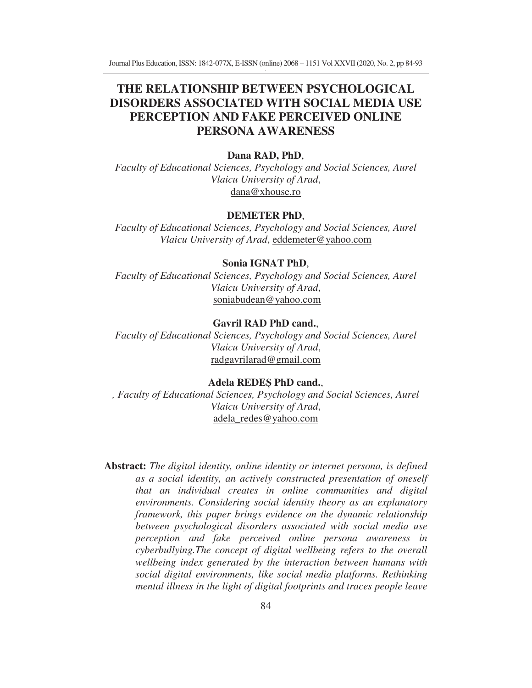Journal Plus Education, ISSN: 1842-077X, E-ISSN (online) 2068 – 1151 Vol XXVII (2020, No. 2, pp 84-93

# **THE RELATIONSHIP BETWEEN PSYCHOLOGICAL DISORDERS ASSOCIATED WITH SOCIAL MEDIA USE PERCEPTION AND FAKE PERCEIVED ONLINE PERSONA AWARENESS**

#### **Dana RAD, PhD**,

*Faculty of Educational Sciences, Psychology and Social Sciences, Aurel Vlaicu University of Arad*, dana@xhouse.ro

## **DEMETER PhD**,

*Faculty of Educational Sciences, Psychology and Social Sciences, Aurel Vlaicu University of Arad*, eddemeter@yahoo.com

#### **Sonia IGNAT PhD**,

*Faculty of Educational Sciences, Psychology and Social Sciences, Aurel Vlaicu University of Arad*, soniabudean@yahoo.com

## **Gavril RAD PhD cand.**,

*Faculty of Educational Sciences, Psychology and Social Sciences, Aurel Vlaicu University of Arad*, radgavrilarad@gmail.com

# **Adela REDE PhD cand.**,

*, Faculty of Educational Sciences, Psychology and Social Sciences, Aurel Vlaicu University of Arad*, adela\_redes@yahoo.com

**Abstract:** *The digital identity, online identity or internet persona, is defined as a social identity, an actively constructed presentation of oneself that an individual creates in online communities and digital environments. Considering social identity theory as an explanatory framework, this paper brings evidence on the dynamic relationship between psychological disorders associated with social media use perception and fake perceived online persona awareness in cyberbullying.The concept of digital wellbeing refers to the overall wellbeing index generated by the interaction between humans with social digital environments, like social media platforms. Rethinking mental illness in the light of digital footprints and traces people leave*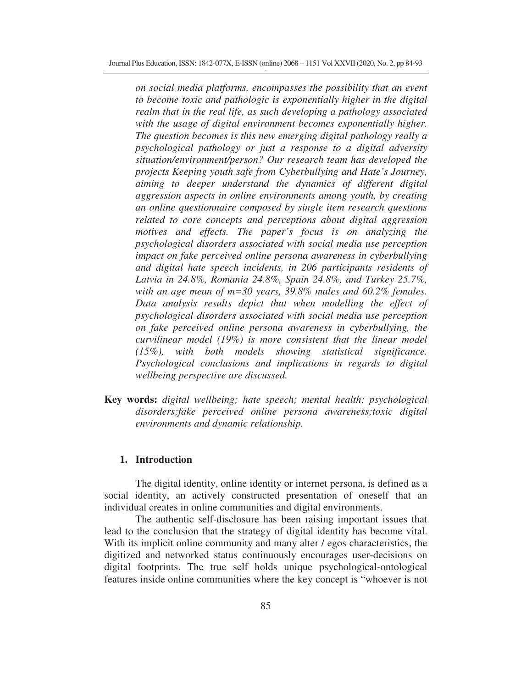*on social media platforms, encompasses the possibility that an event to become toxic and pathologic is exponentially higher in the digital realm that in the real life, as such developing a pathology associated with the usage of digital environment becomes exponentially higher. The question becomes is this new emerging digital pathology really a psychological pathology or just a response to a digital adversity situation/environment/person? Our research team has developed the projects Keeping youth safe from Cyberbullying and Hate's Journey, aiming to deeper understand the dynamics of different digital aggression aspects in online environments among youth, by creating an online questionnaire composed by single item research questions related to core concepts and perceptions about digital aggression motives and effects. The paper's focus is on analyzing the psychological disorders associated with social media use perception impact on fake perceived online persona awareness in cyberbullying and digital hate speech incidents, in 206 participants residents of Latvia in 24.8%, Romania 24.8%, Spain 24.8%, and Turkey 25.7%, with an age mean of m=30 years, 39.8% males and 60.2% females. Data analysis results depict that when modelling the effect of psychological disorders associated with social media use perception on fake perceived online persona awareness in cyberbullying, the curvilinear model (19%) is more consistent that the linear model (15%), with both models showing statistical significance. Psychological conclusions and implications in regards to digital wellbeing perspective are discussed.* 

**Key words:** *digital wellbeing; hate speech; mental health; psychological disorders;fake perceived online persona awareness;toxic digital environments and dynamic relationship.* 

#### **1. Introduction**

The digital identity, online identity or internet persona, is defined as a social identity, an actively constructed presentation of oneself that an individual creates in online communities and digital environments.

The authentic self-disclosure has been raising important issues that lead to the conclusion that the strategy of digital identity has become vital. With its implicit online community and many alter / egos characteristics, the digitized and networked status continuously encourages user-decisions on digital footprints. The true self holds unique psychological-ontological features inside online communities where the key concept is "whoever is not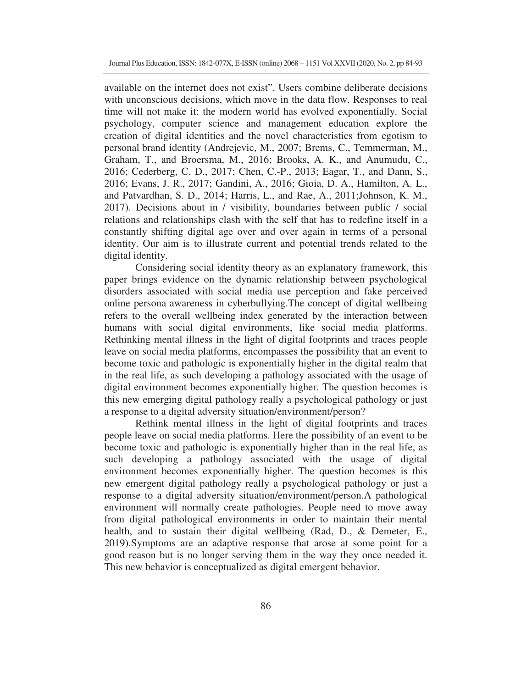available on the internet does not exist". Users combine deliberate decisions with unconscious decisions, which move in the data flow. Responses to real time will not make it: the modern world has evolved exponentially. Social psychology, computer science and management education explore the creation of digital identities and the novel characteristics from egotism to personal brand identity (Andrejevic, M., 2007; Brems, C., Temmerman, M., Graham, T., and Broersma, M., 2016; Brooks, A. K., and Anumudu, C., 2016; Cederberg, C. D., 2017; Chen, C.-P., 2013; Eagar, T., and Dann, S., 2016; Evans, J. R., 2017; Gandini, A., 2016; Gioia, D. A., Hamilton, A. L., and Patvardhan, S. D., 2014; Harris, L., and Rae, A., 2011;Johnson, K. M., 2017). Decisions about in / visibility, boundaries between public / social relations and relationships clash with the self that has to redefine itself in a constantly shifting digital age over and over again in terms of a personal identity. Our aim is to illustrate current and potential trends related to the digital identity.

Considering social identity theory as an explanatory framework, this paper brings evidence on the dynamic relationship between psychological disorders associated with social media use perception and fake perceived online persona awareness in cyberbullying.The concept of digital wellbeing refers to the overall wellbeing index generated by the interaction between humans with social digital environments, like social media platforms. Rethinking mental illness in the light of digital footprints and traces people leave on social media platforms, encompasses the possibility that an event to become toxic and pathologic is exponentially higher in the digital realm that in the real life, as such developing a pathology associated with the usage of digital environment becomes exponentially higher. The question becomes is this new emerging digital pathology really a psychological pathology or just a response to a digital adversity situation/environment/person?

Rethink mental illness in the light of digital footprints and traces people leave on social media platforms. Here the possibility of an event to be become toxic and pathologic is exponentially higher than in the real life, as such developing a pathology associated with the usage of digital environment becomes exponentially higher. The question becomes is this new emergent digital pathology really a psychological pathology or just a response to a digital adversity situation/environment/person.A pathological environment will normally create pathologies. People need to move away from digital pathological environments in order to maintain their mental health, and to sustain their digital wellbeing (Rad, D., & Demeter, E., 2019).Symptoms are an adaptive response that arose at some point for a good reason but is no longer serving them in the way they once needed it. This new behavior is conceptualized as digital emergent behavior.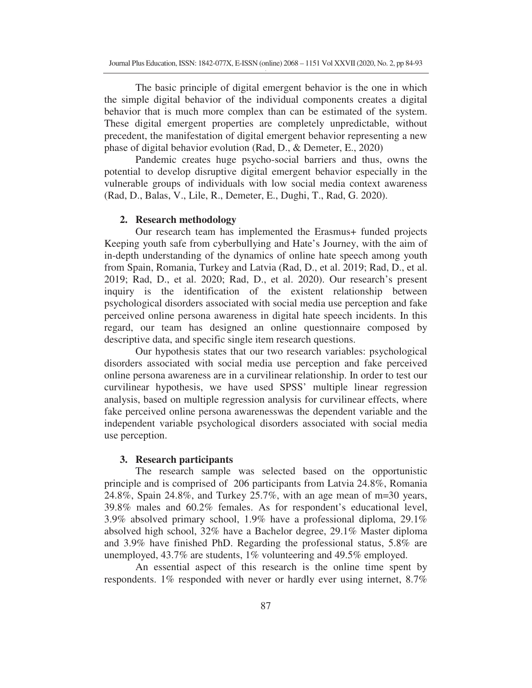The basic principle of digital emergent behavior is the one in which the simple digital behavior of the individual components creates a digital behavior that is much more complex than can be estimated of the system. These digital emergent properties are completely unpredictable, without precedent, the manifestation of digital emergent behavior representing a new phase of digital behavior evolution (Rad, D., & Demeter, E., 2020)

Pandemic creates huge psycho-social barriers and thus, owns the potential to develop disruptive digital emergent behavior especially in the vulnerable groups of individuals with low social media context awareness (Rad, D., Balas, V., Lile, R., Demeter, E., Dughi, T., Rad, G. 2020).

#### **2. Research methodology**

Our research team has implemented the Erasmus+ funded projects Keeping youth safe from cyberbullying and Hate's Journey, with the aim of in-depth understanding of the dynamics of online hate speech among youth from Spain, Romania, Turkey and Latvia (Rad, D., et al. 2019; Rad, D., et al. 2019; Rad, D., et al. 2020; Rad, D., et al. 2020). Our research's present inquiry is the identification of the existent relationship between psychological disorders associated with social media use perception and fake perceived online persona awareness in digital hate speech incidents. In this regard, our team has designed an online questionnaire composed by descriptive data, and specific single item research questions.

Our hypothesis states that our two research variables: psychological disorders associated with social media use perception and fake perceived online persona awareness are in a curvilinear relationship. In order to test our curvilinear hypothesis, we have used SPSS' multiple linear regression analysis, based on multiple regression analysis for curvilinear effects, where fake perceived online persona awarenesswas the dependent variable and the independent variable psychological disorders associated with social media use perception.

## **3. Research participants**

The research sample was selected based on the opportunistic principle and is comprised of 206 participants from Latvia 24.8%, Romania 24.8%, Spain 24.8%, and Turkey 25.7%, with an age mean of m=30 years, 39.8% males and 60.2% females. As for respondent's educational level, 3.9% absolved primary school, 1.9% have a professional diploma, 29.1% absolved high school, 32% have a Bachelor degree, 29.1% Master diploma and 3.9% have finished PhD. Regarding the professional status, 5.8% are unemployed, 43.7% are students, 1% volunteering and 49.5% employed.

An essential aspect of this research is the online time spent by respondents. 1% responded with never or hardly ever using internet, 8.7%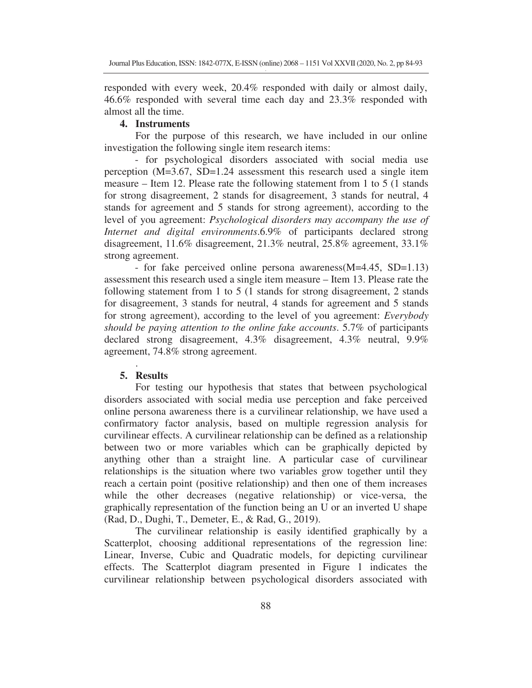responded with every week, 20.4% responded with daily or almost daily, 46.6% responded with several time each day and 23.3% responded with almost all the time.

## **4. Instruments**

For the purpose of this research, we have included in our online investigation the following single item research items:

- for psychological disorders associated with social media use perception (M=3.67, SD=1.24 assessment this research used a single item measure – Item 12. Please rate the following statement from 1 to 5 (1 stands for strong disagreement, 2 stands for disagreement, 3 stands for neutral, 4 stands for agreement and 5 stands for strong agreement), according to the level of you agreement: *Psychological disorders may accompany the use of Internet and digital environments*.6.9% of participants declared strong disagreement, 11.6% disagreement, 21.3% neutral, 25.8% agreement, 33.1% strong agreement.

- for fake perceived online persona awareness(M=4.45, SD=1.13) assessment this research used a single item measure – Item 13. Please rate the following statement from 1 to 5 (1 stands for strong disagreement, 2 stands for disagreement, 3 stands for neutral, 4 stands for agreement and 5 stands for strong agreement), according to the level of you agreement: *Everybody should be paying attention to the online fake accounts*. 5.7% of participants declared strong disagreement, 4.3% disagreement, 4.3% neutral, 9.9% agreement, 74.8% strong agreement.

# **5. Results**

.

For testing our hypothesis that states that between psychological disorders associated with social media use perception and fake perceived online persona awareness there is a curvilinear relationship, we have used a confirmatory factor analysis, based on multiple regression analysis for curvilinear effects. A curvilinear relationship can be defined as a relationship between two or more variables which can be graphically depicted by anything other than a straight line. A particular case of curvilinear relationships is the situation where two variables grow together until they reach a certain point (positive relationship) and then one of them increases while the other decreases (negative relationship) or vice-versa, the graphically representation of the function being an U or an inverted U shape (Rad, D., Dughi, T., Demeter, E., & Rad, G., 2019).

The curvilinear relationship is easily identified graphically by a Scatterplot, choosing additional representations of the regression line: Linear, Inverse, Cubic and Quadratic models, for depicting curvilinear effects. The Scatterplot diagram presented in Figure 1 indicates the curvilinear relationship between psychological disorders associated with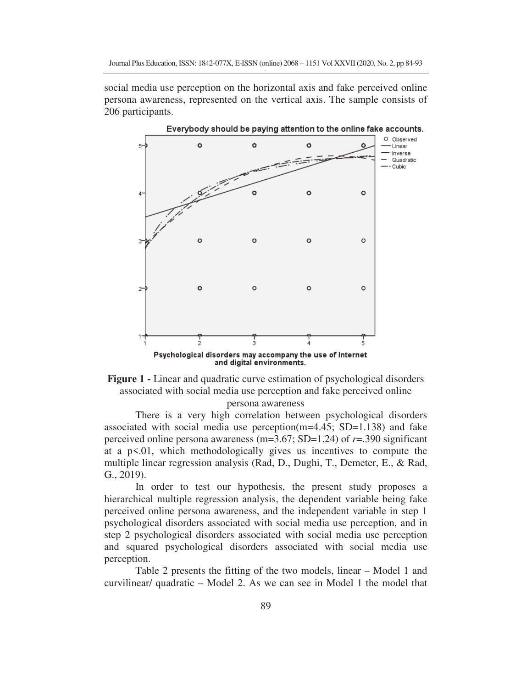social media use perception on the horizontal axis and fake perceived online persona awareness, represented on the vertical axis. The sample consists of 206 participants.





There is a very high correlation between psychological disorders associated with social media use perception( $m=4.45$ ; SD=1.138) and fake perceived online persona awareness (m=3.67; SD=1.24) of *r*=.390 significant at a  $p \leq 0.01$ , which methodologically gives us incentives to compute the multiple linear regression analysis (Rad, D., Dughi, T., Demeter, E., & Rad, G., 2019).

In order to test our hypothesis, the present study proposes a hierarchical multiple regression analysis, the dependent variable being fake perceived online persona awareness, and the independent variable in step 1 psychological disorders associated with social media use perception, and in step 2 psychological disorders associated with social media use perception and squared psychological disorders associated with social media use perception.

Table 2 presents the fitting of the two models, linear – Model 1 and curvilinear/ quadratic – Model 2. As we can see in Model 1 the model that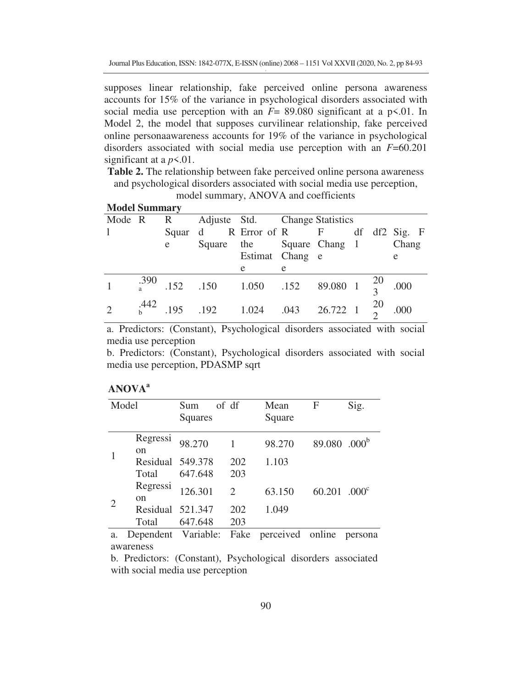supposes linear relationship, fake perceived online persona awareness accounts for 15% of the variance in psychological disorders associated with social media use perception with an  $F = 89.080$  significant at a  $p \le 01$ . In Model 2, the model that supposes curvilinear relationship, fake perceived online personaawareness accounts for 19% of the variance in psychological disorders associated with social media use perception with an *F*=60.201 significant at a  $p<0.01$ .

**Table 2.** The relationship between fake perceived online persona awareness and psychological disorders associated with social media use perception,

| <b>Model Summary</b> |  |   |                                                                       |                 |    |  |  |  |   |
|----------------------|--|---|-----------------------------------------------------------------------|-----------------|----|--|--|--|---|
| Mode R R             |  |   | Adjuste Std. Change Statistics                                        |                 |    |  |  |  |   |
|                      |  |   | Squar d R Error of R F df df2 Sig. F                                  |                 |    |  |  |  |   |
|                      |  | e | Square the Square Chang 1 Chang                                       |                 |    |  |  |  |   |
|                      |  |   |                                                                       | Estimat Chang e |    |  |  |  | e |
|                      |  |   |                                                                       | e               | e. |  |  |  |   |
|                      |  |   | $\frac{.390}{.390}$ .152 .150 1.050 .152 89.080 1 $\frac{20}{3}$ .000 |                 |    |  |  |  |   |
| $\overline{2}$       |  |   | $^{0.442}_{b}$ .195 .192 1.024 .043 26.722 1 $^{20}_{2}$ .000         |                 |    |  |  |  |   |

model summary, ANOVA and coefficients

a. Predictors: (Constant), Psychological disorders associated with social media use perception

b. Predictors: (Constant), Psychological disorders associated with social media use perception, PDASMP sqrt

# **ANOVA<sup>a</sup>**

| Model          |                           | Sum<br>Squares | of df                       | Mean<br>Square | F                        | Sig.              |
|----------------|---------------------------|----------------|-----------------------------|----------------|--------------------------|-------------------|
|                | Regressi<br><sub>on</sub> | 98.270         |                             | 98.270         | 89.080 .000 <sup>b</sup> |                   |
|                | Residual 549.378          |                | 202                         | 1.103          |                          |                   |
|                | Total                     | 647.648        | 203                         |                |                          |                   |
| $\overline{2}$ | Regressi<br>$\alpha$      | 126.301        | $\mathcal{D}_{\mathcal{L}}$ | 63.150         | 60.201                   | .000 <sup>c</sup> |
|                | Residual 521.347          |                | 202                         | 1.049          |                          |                   |
|                | Total                     | 647.648        | 203                         |                | $ -$                     |                   |

a. Dependent Variable: Fake perceived online persona awareness

b. Predictors: (Constant), Psychological disorders associated with social media use perception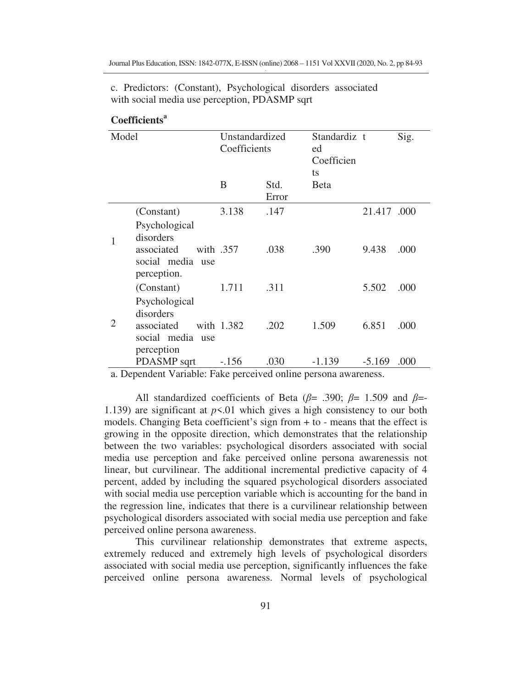| Model          |                                                                                      | Unstandardized<br>Coefficients |               | Standardiz t<br>ed<br>Coefficien<br>ts |             | Sig. |
|----------------|--------------------------------------------------------------------------------------|--------------------------------|---------------|----------------------------------------|-------------|------|
|                |                                                                                      | B                              | Std.<br>Error | <b>B</b> eta                           |             |      |
|                | (Constant)                                                                           | 3.138                          | .147          |                                        | 21.417 .000 |      |
| 1              | Psychological<br>disorders<br>associated<br>social media use<br>perception.          | with .357                      | .038          | .390                                   | 9.438       | .000 |
|                | (Constant)                                                                           | 1.711                          | .311          |                                        | 5.502       | .000 |
| $\overline{2}$ | Psychological<br>disorders<br>associated<br>social media<br><b>use</b><br>perception | with 1.382                     | .202          | 1.509                                  | 6.851       | .000 |
|                | PDASMP sqrt                                                                          | $-.156$                        | .030          | -1.139                                 | $-5.169$    | .000 |

c. Predictors: (Constant), Psychological disorders associated with social media use perception, PDASMP sqrt

# **Coefficients<sup>a</sup>**

a. Dependent Variable: Fake perceived online persona awareness.

All standardized coefficients of Beta ( $\beta$ = .390;  $\beta$ = 1.509 and  $\beta$ = 1.139) are significant at  $p \le 01$  which gives a high consistency to our both models. Changing Beta coefficient's sign from  $+$  to - means that the effect is growing in the opposite direction, which demonstrates that the relationship between the two variables: psychological disorders associated with social media use perception and fake perceived online persona awarenessis not linear, but curvilinear. The additional incremental predictive capacity of 4 percent, added by including the squared psychological disorders associated with social media use perception variable which is accounting for the band in the regression line, indicates that there is a curvilinear relationship between psychological disorders associated with social media use perception and fake perceived online persona awareness.

This curvilinear relationship demonstrates that extreme aspects, extremely reduced and extremely high levels of psychological disorders associated with social media use perception, significantly influences the fake perceived online persona awareness. Normal levels of psychological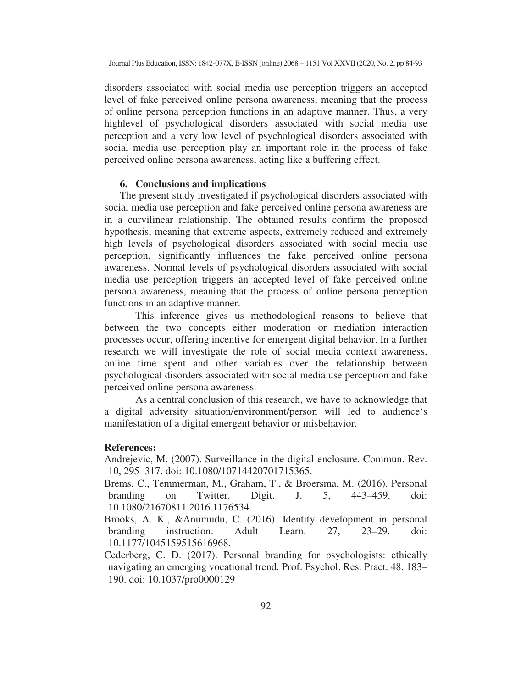disorders associated with social media use perception triggers an accepted level of fake perceived online persona awareness, meaning that the process of online persona perception functions in an adaptive manner. Thus, a very highlevel of psychological disorders associated with social media use perception and a very low level of psychological disorders associated with social media use perception play an important role in the process of fake perceived online persona awareness, acting like a buffering effect.

#### **6. Conclusions and implications**

The present study investigated if psychological disorders associated with social media use perception and fake perceived online persona awareness are in a curvilinear relationship. The obtained results confirm the proposed hypothesis, meaning that extreme aspects, extremely reduced and extremely high levels of psychological disorders associated with social media use perception, significantly influences the fake perceived online persona awareness. Normal levels of psychological disorders associated with social media use perception triggers an accepted level of fake perceived online persona awareness, meaning that the process of online persona perception functions in an adaptive manner.

This inference gives us methodological reasons to believe that between the two concepts either moderation or mediation interaction processes occur, offering incentive for emergent digital behavior. In a further research we will investigate the role of social media context awareness, online time spent and other variables over the relationship between psychological disorders associated with social media use perception and fake perceived online persona awareness.

As a central conclusion of this research, we have to acknowledge that a digital adversity situation/environment/person will led to audience's manifestation of a digital emergent behavior or misbehavior.

#### **References:**

Andrejevic, M. (2007). Surveillance in the digital enclosure. Commun. Rev. 10, 295–317. doi: 10.1080/10714420701715365.

- Brems, C., Temmerman, M., Graham, T., & Broersma, M. (2016). Personal branding on Twitter. Digit. J. 5, 443–459. doi: 10.1080/21670811.2016.1176534.
- Brooks, A. K., &Anumudu, C. (2016). Identity development in personal branding instruction. Adult Learn. 27, 23–29. doi: 10.1177/1045159515616968.
- Cederberg, C. D. (2017). Personal branding for psychologists: ethically navigating an emerging vocational trend. Prof. Psychol. Res. Pract. 48, 183– 190. doi: 10.1037/pro0000129